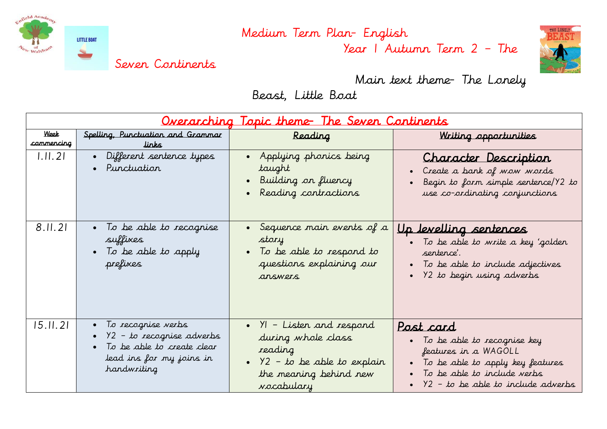

Year 1 Autumn Term 2 – The



Main text theme- The Lonely

Beast, Little Boat

| <u>Overarching Topic theme- The Seven Continents</u> |                                                                                                                                |                                                                                                                                                           |                                                                                                                                                                                                   |  |  |  |
|------------------------------------------------------|--------------------------------------------------------------------------------------------------------------------------------|-----------------------------------------------------------------------------------------------------------------------------------------------------------|---------------------------------------------------------------------------------------------------------------------------------------------------------------------------------------------------|--|--|--|
| Week<br>commencing                                   | Spelling, Punctuation and Grammar<br>links                                                                                     | Reading                                                                                                                                                   | Writing opportunities                                                                                                                                                                             |  |  |  |
| 1.11.21                                              | Different sentence types<br>$\bullet$ .<br>Punctuation                                                                         | • Applying phonics being<br>taught<br>· Building on fluency<br>Reading contractions                                                                       | Character Description<br>Create a bank of wow words<br>Begin to form simple sentence/Y2 to<br>use co-ordinating conjunctions                                                                      |  |  |  |
| 8.11.21                                              | • To be able to recognise<br>suffixes<br>• To be able to apply<br>prefixes                                                     | • Sequence main events of $a$<br>story<br>• To be able to respond to<br>questions explaining our<br>answers                                               | <u>Up levelling sentences</u><br>• To be able to write a key 'golden<br>sentence'.<br>To be able to include adjectives<br>Y2 to begin using adverbs                                               |  |  |  |
| 15.11.21                                             | • To recognise verbs<br>• $Y2 - to recognize adverse$<br>To be able to create clear<br>lead ins for my joins in<br>handwriting | $\bullet$ $\gamma$ – Listen and respond<br>during whole class<br>reading<br>• $Y2 - to be able to explain$<br>the meaning behind new<br><i>vocabulary</i> | Post card<br>• To be able to recognise key<br>features in a WAGOLL<br>To be able to apply key features<br>To be able to include verbs<br>$\bullet$ $\frac{92 - 6}{10}$ be able to include adverbs |  |  |  |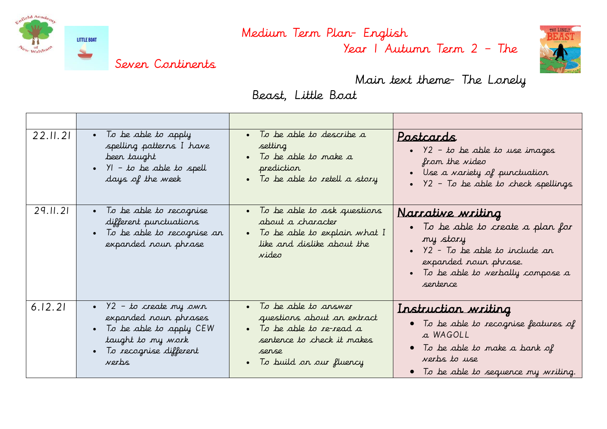

Year 1 Autumn Term 2 – The



Main text theme- The Lonely

Beast, Little Boat

| 22.11.21 | • To be able to apply                                                                                       | • To be able to describe a                                                                                                  | Postcards                                                                                                                                                                                          |
|----------|-------------------------------------------------------------------------------------------------------------|-----------------------------------------------------------------------------------------------------------------------------|----------------------------------------------------------------------------------------------------------------------------------------------------------------------------------------------------|
|          | spelling patterns I have                                                                                    | setting                                                                                                                     | • $Y2 - to be able to use images$                                                                                                                                                                  |
|          | beer taught                                                                                                 | • To be able to make a                                                                                                      | from the video                                                                                                                                                                                     |
|          | • $YI - t\sigma$ be able to spell                                                                           | prediction                                                                                                                  | • Use a variety of punctuation                                                                                                                                                                     |
|          | days of the week                                                                                            | • To be able to retell a story                                                                                              | . $Y2$ - To be able to check spellings                                                                                                                                                             |
| 29.11.21 | • To be able to recognise<br>different punctuations<br>• To be able to recognise an<br>expanded nour phrase | • To be able to ask questions<br>about a character<br>• To be able to explain what I<br>like and dislike about the<br>video | Narrative writing<br>• To be able to create a plan for<br>my story<br>$\bullet$ $\frac{92}{2}$ - To be able to include an<br>expanded noun phrase.<br>To be able to verbally compose a<br>sentence |
| 6.12.21  | • $Y2 - to create my own$                                                                                   | • To be able to answer                                                                                                      | Instruction writing                                                                                                                                                                                |
|          | expanded noun phrases                                                                                       | questions about an extract                                                                                                  | • To be able to recognise features of                                                                                                                                                              |
|          | • To be able to apply CEW                                                                                   | • To be able to re-read a                                                                                                   | a WAGOLL                                                                                                                                                                                           |
|          | taught to my work                                                                                           | sentence to check it makes                                                                                                  | $\bullet$ To be able to make a bank of                                                                                                                                                             |
|          | • To recognise different                                                                                    | sense                                                                                                                       | verbs to use                                                                                                                                                                                       |
|          | verbs                                                                                                       | • To build on our fluency                                                                                                   | • To be able to sequence my writing.                                                                                                                                                               |